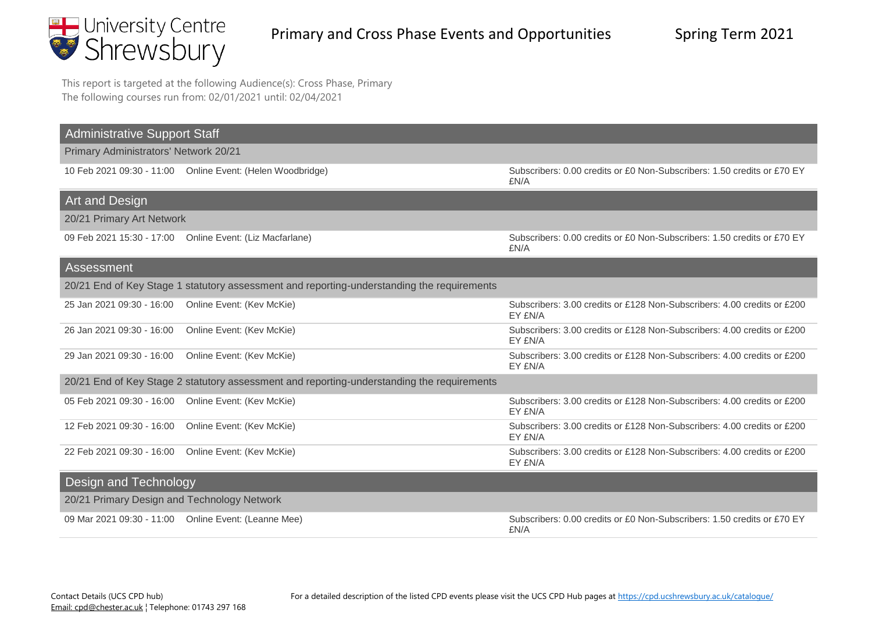

This report is targeted at the following Audience(s): Cross Phase, Primary The following courses run from: 02/01/2021 until: 02/04/2021

| <b>Administrative Support Staff</b>                  |                                                                                            |                                                                                    |
|------------------------------------------------------|--------------------------------------------------------------------------------------------|------------------------------------------------------------------------------------|
| Primary Administrators' Network 20/21                |                                                                                            |                                                                                    |
|                                                      | 10 Feb 2021 09:30 - 11:00 Online Event: (Helen Woodbridge)                                 | Subscribers: 0.00 credits or £0 Non-Subscribers: 1.50 credits or £70 EY<br>£N/A    |
| Art and Design                                       |                                                                                            |                                                                                    |
| 20/21 Primary Art Network                            |                                                                                            |                                                                                    |
|                                                      | 09 Feb 2021 15:30 - 17:00 Online Event: (Liz Macfarlane)                                   | Subscribers: 0.00 credits or £0 Non-Subscribers: 1.50 credits or £70 EY<br>£N/A    |
| Assessment                                           |                                                                                            |                                                                                    |
|                                                      | 20/21 End of Key Stage 1 statutory assessment and reporting-understanding the requirements |                                                                                    |
| 25 Jan 2021 09:30 - 16:00                            | Online Event: (Kev McKie)                                                                  | Subscribers: 3.00 credits or £128 Non-Subscribers: 4.00 credits or £200<br>EY £N/A |
| 26 Jan 2021 09:30 - 16:00                            | Online Event: (Kev McKie)                                                                  | Subscribers: 3.00 credits or £128 Non-Subscribers: 4.00 credits or £200<br>EY £N/A |
| 29 Jan 2021 09:30 - 16:00                            | Online Event: (Kev McKie)                                                                  | Subscribers: 3.00 credits or £128 Non-Subscribers: 4.00 credits or £200<br>EY £N/A |
|                                                      | 20/21 End of Key Stage 2 statutory assessment and reporting-understanding the requirements |                                                                                    |
| 05 Feb 2021 09:30 - 16:00  Online Event: (Kev McKie) |                                                                                            | Subscribers: 3.00 credits or £128 Non-Subscribers: 4.00 credits or £200<br>EY £N/A |
| 12 Feb 2021 09:30 - 16:00                            | Online Event: (Kev McKie)                                                                  | Subscribers: 3.00 credits or £128 Non-Subscribers: 4.00 credits or £200<br>EY £N/A |
| 22 Feb 2021 09:30 - 16:00                            | Online Event: (Kev McKie)                                                                  | Subscribers: 3.00 credits or £128 Non-Subscribers: 4.00 credits or £200<br>EY £N/A |
| Design and Technology                                |                                                                                            |                                                                                    |
| 20/21 Primary Design and Technology Network          |                                                                                            |                                                                                    |
|                                                      | 09 Mar 2021 09:30 - 11:00  Online Event: (Leanne Mee)                                      | Subscribers: 0.00 credits or £0 Non-Subscribers: 1.50 credits or £70 EY<br>£N/A    |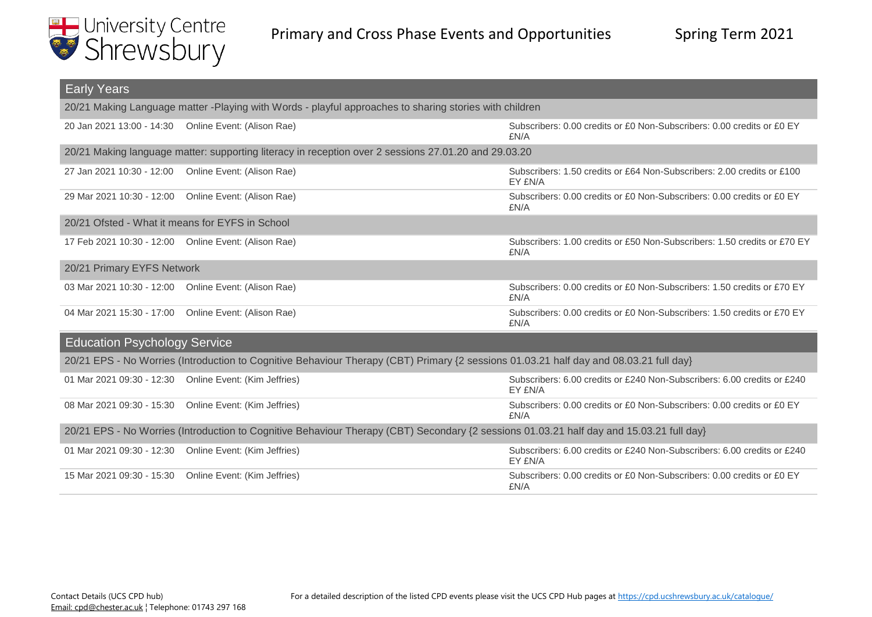

| <b>Early Years</b>                                                                                                                       |                                                                                                                                        |                                                                                    |
|------------------------------------------------------------------------------------------------------------------------------------------|----------------------------------------------------------------------------------------------------------------------------------------|------------------------------------------------------------------------------------|
| 20/21 Making Language matter -Playing with Words - playful approaches to sharing stories with children                                   |                                                                                                                                        |                                                                                    |
|                                                                                                                                          | 20 Jan 2021 13:00 - 14:30  Online Event: (Alison Rae)                                                                                  | Subscribers: 0.00 credits or £0 Non-Subscribers: 0.00 credits or £0 EY<br>£N/A     |
|                                                                                                                                          | 20/21 Making language matter: supporting literacy in reception over 2 sessions 27.01.20 and 29.03.20                                   |                                                                                    |
| 27 Jan 2021 10:30 - 12:00                                                                                                                | Online Event: (Alison Rae)                                                                                                             | Subscribers: 1.50 credits or £64 Non-Subscribers: 2.00 credits or £100<br>EY £N/A  |
|                                                                                                                                          | 29 Mar 2021 10:30 - 12:00  Online Event: (Alison Rae)                                                                                  | Subscribers: 0.00 credits or £0 Non-Subscribers: 0.00 credits or £0 EY<br>£N/A     |
| 20/21 Ofsted - What it means for EYFS in School                                                                                          |                                                                                                                                        |                                                                                    |
|                                                                                                                                          | 17 Feb 2021 10:30 - 12:00 Online Event: (Alison Rae)                                                                                   | Subscribers: 1.00 credits or £50 Non-Subscribers: 1.50 credits or £70 EY<br>£N/A   |
| 20/21 Primary EYFS Network                                                                                                               |                                                                                                                                        |                                                                                    |
|                                                                                                                                          | 03 Mar 2021 10:30 - 12:00  Online Event: (Alison Rae)                                                                                  | Subscribers: 0.00 credits or £0 Non-Subscribers: 1.50 credits or £70 EY<br>£N/A    |
|                                                                                                                                          | 04 Mar 2021 15:30 - 17:00  Online Event: (Alison Rae)                                                                                  | Subscribers: 0.00 credits or £0 Non-Subscribers: 1.50 credits or £70 EY<br>£N/A    |
| <b>Education Psychology Service</b>                                                                                                      |                                                                                                                                        |                                                                                    |
|                                                                                                                                          | 20/21 EPS - No Worries (Introduction to Cognitive Behaviour Therapy (CBT) Primary {2 sessions 01.03.21 half day and 08.03.21 full day} |                                                                                    |
|                                                                                                                                          | 01 Mar 2021 09:30 - 12:30  Online Event: (Kim Jeffries)                                                                                | Subscribers: 6.00 credits or £240 Non-Subscribers: 6.00 credits or £240<br>EY £N/A |
|                                                                                                                                          | 08 Mar 2021 09:30 - 15:30  Online Event: (Kim Jeffries)                                                                                | Subscribers: 0.00 credits or £0 Non-Subscribers: 0.00 credits or £0 EY<br>£N/A     |
| 20/21 EPS - No Worries (Introduction to Cognitive Behaviour Therapy (CBT) Secondary {2 sessions 01.03.21 half day and 15.03.21 full day} |                                                                                                                                        |                                                                                    |
|                                                                                                                                          | 01 Mar 2021 09:30 - 12:30  Online Event: (Kim Jeffries)                                                                                | Subscribers: 6.00 credits or £240 Non-Subscribers: 6.00 credits or £240<br>EY £N/A |
| 15 Mar 2021 09:30 - 15:30                                                                                                                | Online Event: (Kim Jeffries)                                                                                                           | Subscribers: 0.00 credits or £0 Non-Subscribers: 0.00 credits or £0 EY<br>£N/A     |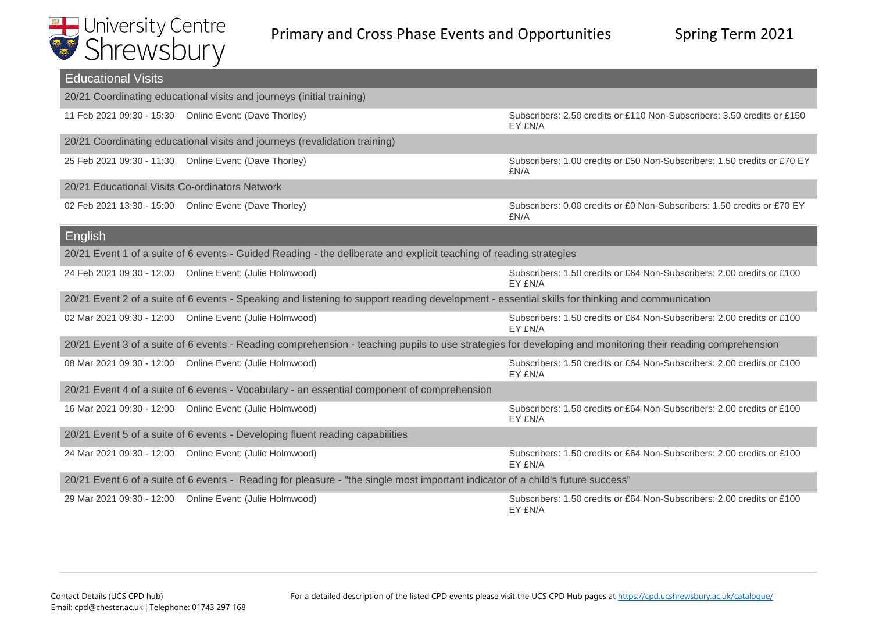

| <b>Educational Visits</b>                                                     |                                                                                                                                                            |                                                                                    |
|-------------------------------------------------------------------------------|------------------------------------------------------------------------------------------------------------------------------------------------------------|------------------------------------------------------------------------------------|
|                                                                               | 20/21 Coordinating educational visits and journeys (initial training)                                                                                      |                                                                                    |
|                                                                               | 11 Feb 2021 09:30 - 15:30  Online Event: (Dave Thorley)                                                                                                    | Subscribers: 2.50 credits or £110 Non-Subscribers: 3.50 credits or £150<br>EY £N/A |
|                                                                               | 20/21 Coordinating educational visits and journeys (revalidation training)                                                                                 |                                                                                    |
|                                                                               | 25 Feb 2021 09:30 - 11:30 Online Event: (Dave Thorley)                                                                                                     | Subscribers: 1.00 credits or £50 Non-Subscribers: 1.50 credits or £70 EY<br>£N/A   |
| 20/21 Educational Visits Co-ordinators Network                                |                                                                                                                                                            |                                                                                    |
|                                                                               | 02 Feb 2021 13:30 - 15:00 Online Event: (Dave Thorley)                                                                                                     | Subscribers: 0.00 credits or £0 Non-Subscribers: 1.50 credits or £70 EY<br>£N/A    |
| English                                                                       |                                                                                                                                                            |                                                                                    |
|                                                                               | 20/21 Event 1 of a suite of 6 events - Guided Reading - the deliberate and explicit teaching of reading strategies                                         |                                                                                    |
|                                                                               | 24 Feb 2021 09:30 - 12:00  Online Event: (Julie Holmwood)                                                                                                  | Subscribers: 1.50 credits or £64 Non-Subscribers: 2.00 credits or £100<br>EY £N/A  |
|                                                                               | 20/21 Event 2 of a suite of 6 events - Speaking and listening to support reading development - essential skills for thinking and communication             |                                                                                    |
|                                                                               | 02 Mar 2021 09:30 - 12:00  Online Event: (Julie Holmwood)                                                                                                  | Subscribers: 1.50 credits or £64 Non-Subscribers: 2.00 credits or £100<br>EY £N/A  |
|                                                                               | 20/21 Event 3 of a suite of 6 events - Reading comprehension - teaching pupils to use strategies for developing and monitoring their reading comprehension |                                                                                    |
|                                                                               | 08 Mar 2021 09:30 - 12:00  Online Event: (Julie Holmwood)                                                                                                  | Subscribers: 1.50 credits or £64 Non-Subscribers: 2.00 credits or £100<br>EY £N/A  |
|                                                                               | 20/21 Event 4 of a suite of 6 events - Vocabulary - an essential component of comprehension                                                                |                                                                                    |
|                                                                               | 16 Mar 2021 09:30 - 12:00  Online Event: (Julie Holmwood)                                                                                                  | Subscribers: 1.50 credits or £64 Non-Subscribers: 2.00 credits or £100<br>EY £N/A  |
| 20/21 Event 5 of a suite of 6 events - Developing fluent reading capabilities |                                                                                                                                                            |                                                                                    |
|                                                                               | 24 Mar 2021 09:30 - 12:00  Online Event: (Julie Holmwood)                                                                                                  | Subscribers: 1.50 credits or £64 Non-Subscribers: 2.00 credits or £100<br>EY £N/A  |
|                                                                               | 20/21 Event 6 of a suite of 6 events - Reading for pleasure - "the single most important indicator of a child's future success"                            |                                                                                    |
|                                                                               | 29 Mar 2021 09:30 - 12:00  Online Event: (Julie Holmwood)                                                                                                  | Subscribers: 1.50 credits or £64 Non-Subscribers: 2.00 credits or £100<br>EY £N/A  |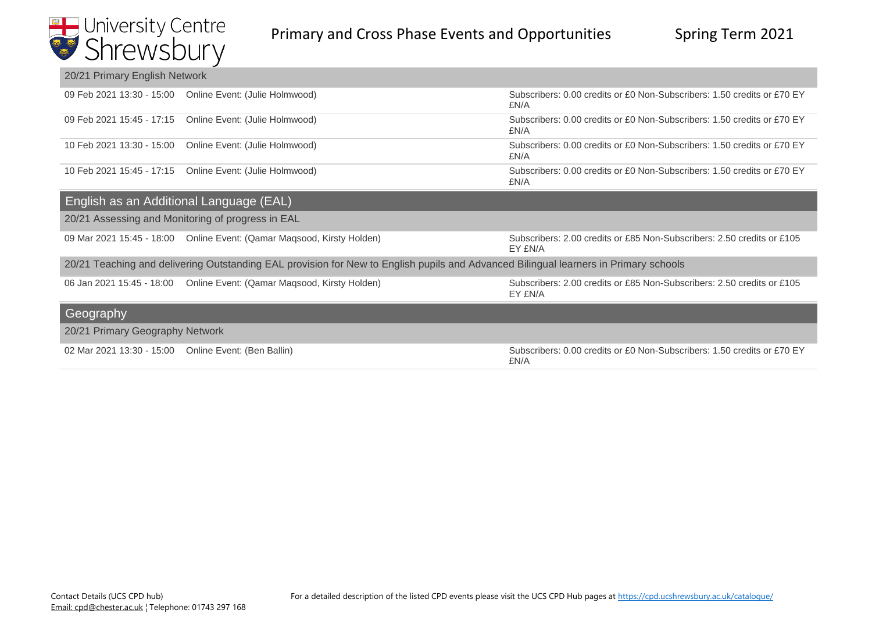

| 20/21 Primary English Network                                                                                                        |                                                                        |                                                                                   |
|--------------------------------------------------------------------------------------------------------------------------------------|------------------------------------------------------------------------|-----------------------------------------------------------------------------------|
|                                                                                                                                      | 09 Feb 2021 13:30 - 15:00 Online Event: (Julie Holmwood)               | Subscribers: 0.00 credits or £0 Non-Subscribers: 1.50 credits or £70 EY<br>£N/A   |
| 09 Feb 2021 15:45 - 17:15                                                                                                            | Online Event: (Julie Holmwood)                                         | Subscribers: 0.00 credits or £0 Non-Subscribers: 1.50 credits or £70 EY<br>£N/A   |
| 10 Feb 2021 13:30 - 15:00                                                                                                            | Online Event: (Julie Holmwood)                                         | Subscribers: 0.00 credits or £0 Non-Subscribers: 1.50 credits or £70 EY<br>£N/A   |
|                                                                                                                                      | 10 Feb 2021 15:45 - 17:15 Online Event: (Julie Holmwood)               | Subscribers: 0.00 credits or £0 Non-Subscribers: 1.50 credits or £70 EY<br>£N/A   |
| English as an Additional Language (EAL)                                                                                              |                                                                        |                                                                                   |
|                                                                                                                                      | 20/21 Assessing and Monitoring of progress in EAL                      |                                                                                   |
|                                                                                                                                      | 09 Mar 2021 15:45 - 18:00 Online Event: (Qamar Maqsood, Kirsty Holden) | Subscribers: 2.00 credits or £85 Non-Subscribers: 2.50 credits or £105<br>EY £N/A |
| 20/21 Teaching and delivering Outstanding EAL provision for New to English pupils and Advanced Bilingual learners in Primary schools |                                                                        |                                                                                   |
|                                                                                                                                      | 06 Jan 2021 15:45 - 18:00 Online Event: (Qamar Maqsood, Kirsty Holden) | Subscribers: 2.00 credits or £85 Non-Subscribers: 2.50 credits or £105<br>EY £N/A |
| Geography                                                                                                                            |                                                                        |                                                                                   |
| 20/21 Primary Geography Network                                                                                                      |                                                                        |                                                                                   |
| 02 Mar 2021 13:30 - 15:00 Online Event: (Ben Ballin)                                                                                 |                                                                        | Subscribers: 0.00 credits or £0 Non-Subscribers: 1.50 credits or £70 EY<br>£N/A   |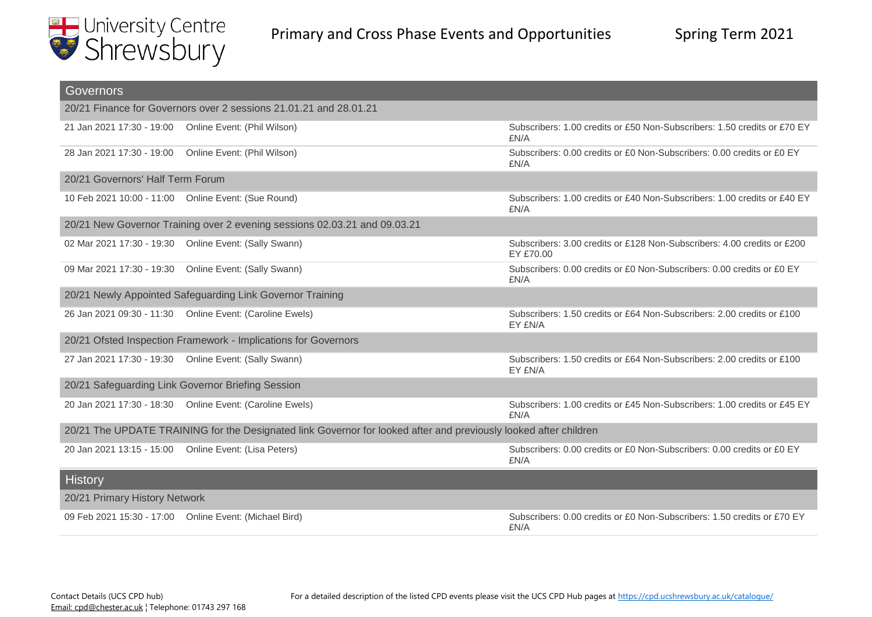

| Governors                                                                                                        |                                                                           |                                                                                      |
|------------------------------------------------------------------------------------------------------------------|---------------------------------------------------------------------------|--------------------------------------------------------------------------------------|
| 20/21 Finance for Governors over 2 sessions 21.01.21 and 28.01.21                                                |                                                                           |                                                                                      |
|                                                                                                                  | 21 Jan 2021 17:30 - 19:00  Online Event: (Phil Wilson)                    | Subscribers: 1.00 credits or £50 Non-Subscribers: 1.50 credits or £70 EY<br>£N/A     |
| 28 Jan 2021 17:30 - 19:00                                                                                        | Online Event: (Phil Wilson)                                               | Subscribers: 0.00 credits or £0 Non-Subscribers: 0.00 credits or £0 EY<br>£N/A       |
| 20/21 Governors' Half Term Forum                                                                                 |                                                                           |                                                                                      |
|                                                                                                                  | 10 Feb 2021 10:00 - 11:00  Online Event: (Sue Round)                      | Subscribers: 1.00 credits or £40 Non-Subscribers: 1.00 credits or £40 EY<br>£N/A     |
|                                                                                                                  | 20/21 New Governor Training over 2 evening sessions 02.03.21 and 09.03.21 |                                                                                      |
|                                                                                                                  | 02 Mar 2021 17:30 - 19:30  Online Event: (Sally Swann)                    | Subscribers: 3.00 credits or £128 Non-Subscribers: 4.00 credits or £200<br>EY £70.00 |
|                                                                                                                  | 09 Mar 2021 17:30 - 19:30  Online Event: (Sally Swann)                    | Subscribers: 0.00 credits or £0 Non-Subscribers: 0.00 credits or £0 EY<br>£N/A       |
|                                                                                                                  | 20/21 Newly Appointed Safeguarding Link Governor Training                 |                                                                                      |
|                                                                                                                  | 26 Jan 2021 09:30 - 11:30  Online Event: (Caroline Ewels)                 | Subscribers: 1.50 credits or £64 Non-Subscribers: 2.00 credits or £100<br>EY £N/A    |
|                                                                                                                  | 20/21 Ofsted Inspection Framework - Implications for Governors            |                                                                                      |
|                                                                                                                  | 27 Jan 2021 17:30 - 19:30  Online Event: (Sally Swann)                    | Subscribers: 1.50 credits or £64 Non-Subscribers: 2.00 credits or £100<br>EY £N/A    |
|                                                                                                                  | 20/21 Safeguarding Link Governor Briefing Session                         |                                                                                      |
|                                                                                                                  | 20 Jan 2021 17:30 - 18:30  Online Event: (Caroline Ewels)                 | Subscribers: 1.00 credits or £45 Non-Subscribers: 1.00 credits or £45 EY<br>£N/A     |
| 20/21 The UPDATE TRAINING for the Designated link Governor for looked after and previously looked after children |                                                                           |                                                                                      |
|                                                                                                                  | 20 Jan 2021 13:15 - 15:00  Online Event: (Lisa Peters)                    | Subscribers: 0.00 credits or £0 Non-Subscribers: 0.00 credits or £0 EY<br>£N/A       |
| <b>History</b>                                                                                                   |                                                                           |                                                                                      |
| 20/21 Primary History Network                                                                                    |                                                                           |                                                                                      |
|                                                                                                                  | 09 Feb 2021 15:30 - 17:00 Online Event: (Michael Bird)                    | Subscribers: 0.00 credits or £0 Non-Subscribers: 1.50 credits or £70 EY<br>£N/A      |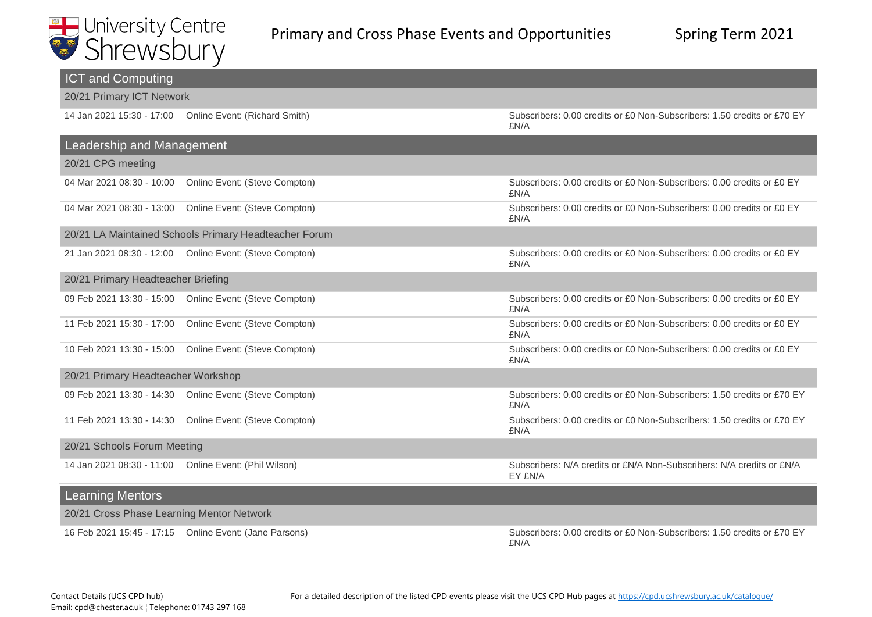

| <b>ICT and Computing</b>                                   |                                                                                  |  |
|------------------------------------------------------------|----------------------------------------------------------------------------------|--|
| 20/21 Primary ICT Network                                  |                                                                                  |  |
| 14 Jan 2021 15:30 - 17:00  Online Event: (Richard Smith)   | Subscribers: 0.00 credits or £0 Non-Subscribers: 1.50 credits or £70 EY<br>£N/A  |  |
| Leadership and Management                                  |                                                                                  |  |
| 20/21 CPG meeting                                          |                                                                                  |  |
| Online Event: (Steve Compton)<br>04 Mar 2021 08:30 - 10:00 | Subscribers: 0.00 credits or £0 Non-Subscribers: 0.00 credits or £0 EY<br>£N/A   |  |
| Online Event: (Steve Compton)<br>04 Mar 2021 08:30 - 13:00 | Subscribers: 0.00 credits or £0 Non-Subscribers: 0.00 credits or £0 EY<br>£N/A   |  |
| 20/21 LA Maintained Schools Primary Headteacher Forum      |                                                                                  |  |
| 21 Jan 2021 08:30 - 12:00  Online Event: (Steve Compton)   | Subscribers: 0.00 credits or £0 Non-Subscribers: 0.00 credits or £0 EY<br>£N/A   |  |
| 20/21 Primary Headteacher Briefing                         |                                                                                  |  |
| 09 Feb 2021 13:30 - 15:00  Online Event: (Steve Compton)   | Subscribers: 0.00 credits or £0 Non-Subscribers: 0.00 credits or £0 EY<br>£N/A   |  |
| 11 Feb 2021 15:30 - 17:00<br>Online Event: (Steve Compton) | Subscribers: 0.00 credits or £0 Non-Subscribers: 0.00 credits or £0 EY<br>£N/A   |  |
| Online Event: (Steve Compton)<br>10 Feb 2021 13:30 - 15:00 | Subscribers: 0.00 credits or £0 Non-Subscribers: 0.00 credits or £0 EY<br>£N/A   |  |
| 20/21 Primary Headteacher Workshop                         |                                                                                  |  |
| 09 Feb 2021 13:30 - 14:30  Online Event: (Steve Compton)   | Subscribers: 0.00 credits or £0 Non-Subscribers: 1.50 credits or £70 EY<br>£N/A  |  |
| Online Event: (Steve Compton)<br>11 Feb 2021 13:30 - 14:30 | Subscribers: 0.00 credits or £0 Non-Subscribers: 1.50 credits or £70 EY<br>£N/A  |  |
| 20/21 Schools Forum Meeting                                |                                                                                  |  |
| 14 Jan 2021 08:30 - 11:00  Online Event: (Phil Wilson)     | Subscribers: N/A credits or £N/A Non-Subscribers: N/A credits or £N/A<br>EY £N/A |  |
| <b>Learning Mentors</b>                                    |                                                                                  |  |
| 20/21 Cross Phase Learning Mentor Network                  |                                                                                  |  |
| 16 Feb 2021 15:45 - 17:15  Online Event: (Jane Parsons)    | Subscribers: 0.00 credits or £0 Non-Subscribers: 1.50 credits or £70 EY<br>£N/A  |  |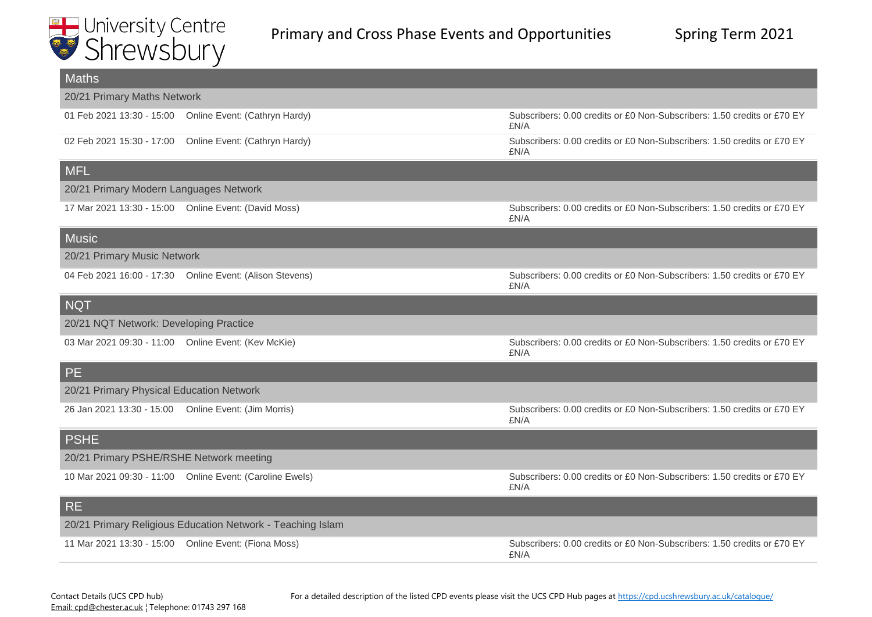

| <b>Maths</b>                                          |                                                            |                                                                                 |
|-------------------------------------------------------|------------------------------------------------------------|---------------------------------------------------------------------------------|
| 20/21 Primary Maths Network                           |                                                            |                                                                                 |
|                                                       | 01 Feb 2021 13:30 - 15:00 Online Event: (Cathryn Hardy)    | Subscribers: 0.00 credits or £0 Non-Subscribers: 1.50 credits or £70 EY<br>£N/A |
|                                                       | 02 Feb 2021 15:30 - 17:00 Online Event: (Cathryn Hardy)    | Subscribers: 0.00 credits or £0 Non-Subscribers: 1.50 credits or £70 EY<br>£N/A |
| <b>MFL</b>                                            |                                                            |                                                                                 |
| 20/21 Primary Modern Languages Network                |                                                            |                                                                                 |
|                                                       | 17 Mar 2021 13:30 - 15:00 Online Event: (David Moss)       | Subscribers: 0.00 credits or £0 Non-Subscribers: 1.50 credits or £70 EY<br>£N/A |
| <b>Music</b>                                          |                                                            |                                                                                 |
| 20/21 Primary Music Network                           |                                                            |                                                                                 |
|                                                       | 04 Feb 2021 16:00 - 17:30  Online Event: (Alison Stevens)  | Subscribers: 0.00 credits or £0 Non-Subscribers: 1.50 credits or £70 EY<br>£N/A |
| NQT                                                   |                                                            |                                                                                 |
| 20/21 NQT Network: Developing Practice                |                                                            |                                                                                 |
| 03 Mar 2021 09:30 - 11:00 Online Event: (Kev McKie)   |                                                            | Subscribers: 0.00 credits or £0 Non-Subscribers: 1.50 credits or £70 EY<br>£N/A |
| <b>PE</b>                                             |                                                            |                                                                                 |
| 20/21 Primary Physical Education Network              |                                                            |                                                                                 |
| 26 Jan 2021 13:30 - 15:00  Online Event: (Jim Morris) |                                                            | Subscribers: 0.00 credits or £0 Non-Subscribers: 1.50 credits or £70 EY<br>£N/A |
| <b>PSHE</b>                                           |                                                            |                                                                                 |
| 20/21 Primary PSHE/RSHE Network meeting               |                                                            |                                                                                 |
|                                                       | 10 Mar 2021 09:30 - 11:00  Online Event: (Caroline Ewels)  | Subscribers: 0.00 credits or £0 Non-Subscribers: 1.50 credits or £70 EY<br>£N/A |
| <b>RE</b>                                             |                                                            |                                                                                 |
|                                                       | 20/21 Primary Religious Education Network - Teaching Islam |                                                                                 |
| 11 Mar 2021 13:30 - 15:00  Online Event: (Fiona Moss) |                                                            | Subscribers: 0.00 credits or £0 Non-Subscribers: 1.50 credits or £70 EY<br>£N/A |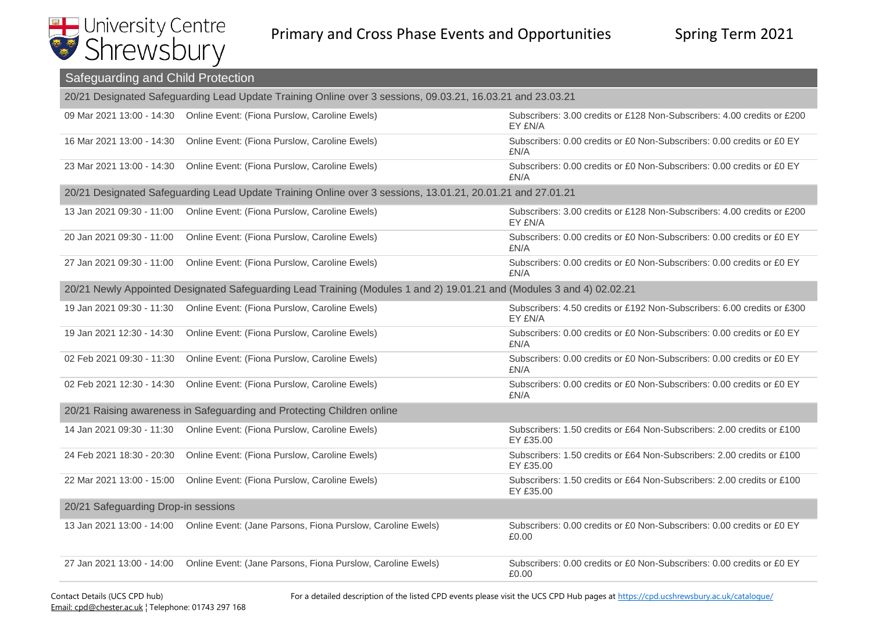

| Safeguarding and Child Protection                                                                          |                                                                                                                       |                                                                                     |
|------------------------------------------------------------------------------------------------------------|-----------------------------------------------------------------------------------------------------------------------|-------------------------------------------------------------------------------------|
| 20/21 Designated Safeguarding Lead Update Training Online over 3 sessions, 09.03.21, 16.03.21 and 23.03.21 |                                                                                                                       |                                                                                     |
|                                                                                                            | 09 Mar 2021 13:00 - 14:30  Online Event: (Fiona Purslow, Caroline Ewels)                                              | Subscribers: 3.00 credits or £128 Non-Subscribers: 4.00 credits or £200<br>EY £N/A  |
| 16 Mar 2021 13:00 - 14:30                                                                                  | Online Event: (Fiona Purslow, Caroline Ewels)                                                                         | Subscribers: 0.00 credits or £0 Non-Subscribers: 0.00 credits or £0 EY<br>£N/A      |
| 23 Mar 2021 13:00 - 14:30                                                                                  | Online Event: (Fiona Purslow, Caroline Ewels)                                                                         | Subscribers: 0.00 credits or £0 Non-Subscribers: 0.00 credits or £0 EY<br>£N/A      |
|                                                                                                            | 20/21 Designated Safeguarding Lead Update Training Online over 3 sessions, 13.01.21, 20.01.21 and 27.01.21            |                                                                                     |
| 13 Jan 2021 09:30 - 11:00                                                                                  | Online Event: (Fiona Purslow, Caroline Ewels)                                                                         | Subscribers: 3.00 credits or £128 Non-Subscribers: 4.00 credits or £200<br>EY £N/A  |
| 20 Jan 2021 09:30 - 11:00                                                                                  | Online Event: (Fiona Purslow, Caroline Ewels)                                                                         | Subscribers: 0.00 credits or £0 Non-Subscribers: 0.00 credits or £0 EY<br>£N/A      |
| 27 Jan 2021 09:30 - 11:00                                                                                  | Online Event: (Fiona Purslow, Caroline Ewels)                                                                         | Subscribers: 0.00 credits or £0 Non-Subscribers: 0.00 credits or £0 EY<br>£N/A      |
|                                                                                                            | 20/21 Newly Appointed Designated Safeguarding Lead Training (Modules 1 and 2) 19.01.21 and (Modules 3 and 4) 02.02.21 |                                                                                     |
| 19 Jan 2021 09:30 - 11:30                                                                                  | Online Event: (Fiona Purslow, Caroline Ewels)                                                                         | Subscribers: 4.50 credits or £192 Non-Subscribers: 6.00 credits or £300<br>EY £N/A  |
| 19 Jan 2021 12:30 - 14:30                                                                                  | Online Event: (Fiona Purslow, Caroline Ewels)                                                                         | Subscribers: 0.00 credits or £0 Non-Subscribers: 0.00 credits or £0 EY<br>£N/A      |
| 02 Feb 2021 09:30 - 11:30                                                                                  | Online Event: (Fiona Purslow, Caroline Ewels)                                                                         | Subscribers: 0.00 credits or £0 Non-Subscribers: 0.00 credits or £0 EY<br>£N/A      |
| 02 Feb 2021 12:30 - 14:30                                                                                  | Online Event: (Fiona Purslow, Caroline Ewels)                                                                         | Subscribers: 0.00 credits or £0 Non-Subscribers: 0.00 credits or £0 EY<br>£N/A      |
|                                                                                                            | 20/21 Raising awareness in Safeguarding and Protecting Children online                                                |                                                                                     |
| 14 Jan 2021 09:30 - 11:30                                                                                  | Online Event: (Fiona Purslow, Caroline Ewels)                                                                         | Subscribers: 1.50 credits or £64 Non-Subscribers: 2.00 credits or £100<br>EY £35.00 |
| 24 Feb 2021 18:30 - 20:30                                                                                  | Online Event: (Fiona Purslow, Caroline Ewels)                                                                         | Subscribers: 1.50 credits or £64 Non-Subscribers: 2.00 credits or £100<br>EY £35.00 |
| 22 Mar 2021 13:00 - 15:00                                                                                  | Online Event: (Fiona Purslow, Caroline Ewels)                                                                         | Subscribers: 1.50 credits or £64 Non-Subscribers: 2.00 credits or £100<br>EY £35.00 |
| 20/21 Safeguarding Drop-in sessions                                                                        |                                                                                                                       |                                                                                     |
| 13 Jan 2021 13:00 - 14:00                                                                                  | Online Event: (Jane Parsons, Fiona Purslow, Caroline Ewels)                                                           | Subscribers: 0.00 credits or £0 Non-Subscribers: 0.00 credits or £0 EY<br>£0.00     |
| 27 Jan 2021 13:00 - 14:00                                                                                  | Online Event: (Jane Parsons, Fiona Purslow, Caroline Ewels)                                                           | Subscribers: 0.00 credits or £0 Non-Subscribers: 0.00 credits or £0 EY<br>£0.00     |

For a detailed description of the listed CPD events please visit the UCS CPD Hub pages at https://cpd.ucshrewsbury.ac.uk/catalogue/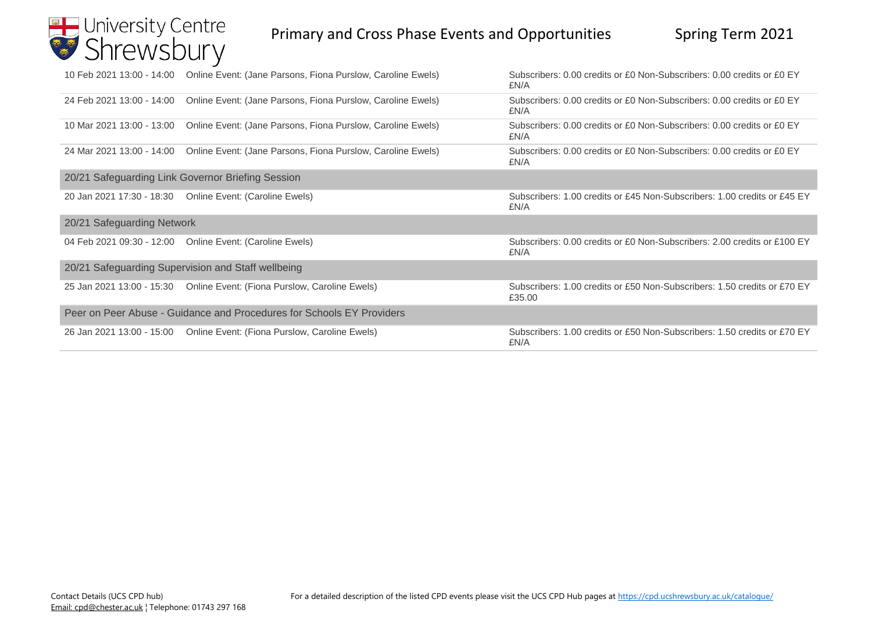## University Centre

## Primary and Cross Phase Events and Opportunities Spring Term 2021

|                                                                       | 10 Feb 2021 13:00 - 14:00 Online Event: (Jane Parsons, Fiona Purslow, Caroline Ewels) | Subscribers: 0.00 credits or £0 Non-Subscribers: 0.00 credits or £0 EY<br>£N/A     |
|-----------------------------------------------------------------------|---------------------------------------------------------------------------------------|------------------------------------------------------------------------------------|
| 24 Feb 2021 13:00 - 14:00                                             | Online Event: (Jane Parsons, Fiona Purslow, Caroline Ewels)                           | Subscribers: 0.00 credits or £0 Non-Subscribers: 0.00 credits or £0 EY<br>£N/A     |
| 10 Mar 2021 13:00 - 13:00                                             | Online Event: (Jane Parsons, Fiona Purslow, Caroline Ewels)                           | Subscribers: 0.00 credits or £0 Non-Subscribers: 0.00 credits or £0 EY<br>£N/A     |
| 24 Mar 2021 13:00 - 14:00                                             | Online Event: (Jane Parsons, Fiona Purslow, Caroline Ewels)                           | Subscribers: 0.00 credits or £0 Non-Subscribers: 0.00 credits or £0 EY<br>£N/A     |
|                                                                       | 20/21 Safeguarding Link Governor Briefing Session                                     |                                                                                    |
|                                                                       | 20 Jan 2021 17:30 - 18:30  Online Event: (Caroline Ewels)                             | Subscribers: 1.00 credits or £45 Non-Subscribers: 1.00 credits or £45 EY<br>£N/A   |
| 20/21 Safeguarding Network                                            |                                                                                       |                                                                                    |
| 04 Feb 2021 09:30 - 12:00                                             | Online Event: (Caroline Ewels)                                                        | Subscribers: 0.00 credits or £0 Non-Subscribers: 2.00 credits or £100 EY<br>£N/A   |
|                                                                       | 20/21 Safeguarding Supervision and Staff wellbeing                                    |                                                                                    |
|                                                                       |                                                                                       | Subscribers: 1.00 credits or £50 Non-Subscribers: 1.50 credits or £70 EY<br>£35.00 |
| Peer on Peer Abuse - Guidance and Procedures for Schools EY Providers |                                                                                       |                                                                                    |
|                                                                       |                                                                                       | Subscribers: 1.00 credits or £50 Non-Subscribers: 1.50 credits or £70 EY<br>£N/A   |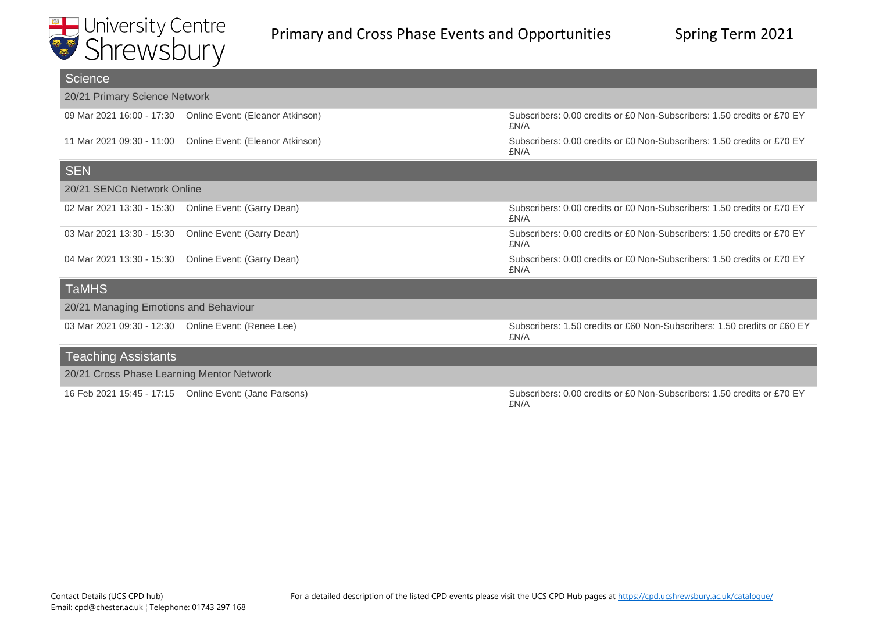

| <b>Science</b>                            |                                                        |                                                                                  |
|-------------------------------------------|--------------------------------------------------------|----------------------------------------------------------------------------------|
| 20/21 Primary Science Network             |                                                        |                                                                                  |
| 09 Mar 2021 16:00 - 17:30                 | Online Event: (Eleanor Atkinson)                       | Subscribers: 0.00 credits or £0 Non-Subscribers: 1.50 credits or £70 EY<br>£N/A  |
| 11 Mar 2021 09:30 - 11:00                 | Online Event: (Eleanor Atkinson)                       | Subscribers: 0.00 credits or £0 Non-Subscribers: 1.50 credits or £70 EY<br>£N/A  |
| <b>SEN</b>                                |                                                        |                                                                                  |
| 20/21 SENCo Network Online                |                                                        |                                                                                  |
| 02 Mar 2021 13:30 - 15:30                 | Online Event: (Garry Dean)                             | Subscribers: 0.00 credits or £0 Non-Subscribers: 1.50 credits or £70 EY<br>£N/A  |
| 03 Mar 2021 13:30 - 15:30                 | Online Event: (Garry Dean)                             | Subscribers: 0.00 credits or £0 Non-Subscribers: 1.50 credits or £70 EY<br>£N/A  |
| 04 Mar 2021 13:30 - 15:30                 | Online Event: (Garry Dean)                             | Subscribers: 0.00 credits or £0 Non-Subscribers: 1.50 credits or £70 EY<br>£N/A  |
| <b>TaMHS</b>                              |                                                        |                                                                                  |
| 20/21 Managing Emotions and Behaviour     |                                                        |                                                                                  |
|                                           | 03 Mar 2021 09:30 - 12:30  Online Event: (Renee Lee)   | Subscribers: 1.50 credits or £60 Non-Subscribers: 1.50 credits or £60 EY<br>£N/A |
| <b>Teaching Assistants</b>                |                                                        |                                                                                  |
| 20/21 Cross Phase Learning Mentor Network |                                                        |                                                                                  |
|                                           | 16 Feb 2021 15:45 - 17:15 Online Event: (Jane Parsons) | Subscribers: 0.00 credits or £0 Non-Subscribers: 1.50 credits or £70 EY<br>£N/A  |